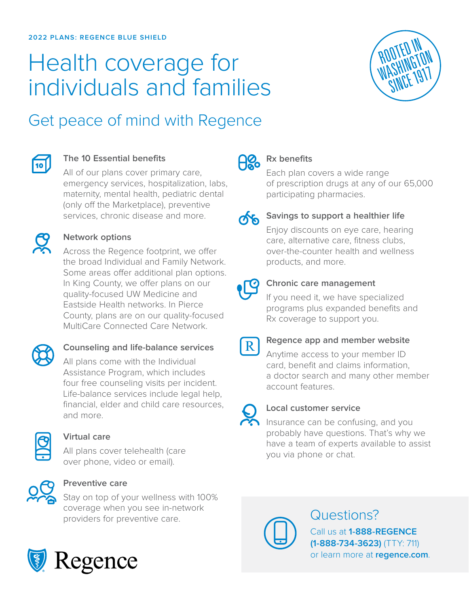# Health coverage for individuals and families



## Get peace of mind with Regence



#### **The 10 Essential benefits**

All of our plans cover primary care, emergency services, hospitalization, labs, maternity, mental health, pediatric dental (only off the Marketplace), preventive services, chronic disease and more.

#### **Network options**

Across the Regence footprint, we offer the broad Individual and Family Network. Some areas offer additional plan options. In King County, we offer plans on our quality-focused UW Medicine and Eastside Health networks. In Pierce County, plans are on our quality-focused MultiCare Connected Care Network.



### **Counseling and life-balance services**

All plans come with the Individual Assistance Program, which includes four free counseling visits per incident. Life-balance services include legal help, financial, elder and child care resources, and more.



#### **Virtual care**

All plans cover telehealth (care over phone, video or email).



#### **Preventive care**

Stay on top of your wellness with 100% coverage when you see in-network providers for preventive care.



## ႕ေ့

### **Rx benefits**

Each plan covers a wide range of prescription drugs at any of our 65,000 participating pharmacies.



### **Savings to support a healthier life**

Enjoy discounts on eye care, hearing care, alternative care, fitness clubs, over-the-counter health and wellness products, and more.



#### **Chronic care management**

If you need it, we have specialized programs plus expanded benefits and Rx coverage to support you.



#### **Regence app and member website**

Anytime access to your member ID card, benefit and claims information, a doctor search and many other member account features.



#### **Local customer service**

Insurance can be confusing, and you probably have questions. That's why we have a team of experts available to assist you via phone or chat.



### Questions?

Call us at **1-888-REGENCE (1-888-734-3623)** (TTY: 711) or learn more at **[regence.com](https://www.regence.com/home)**.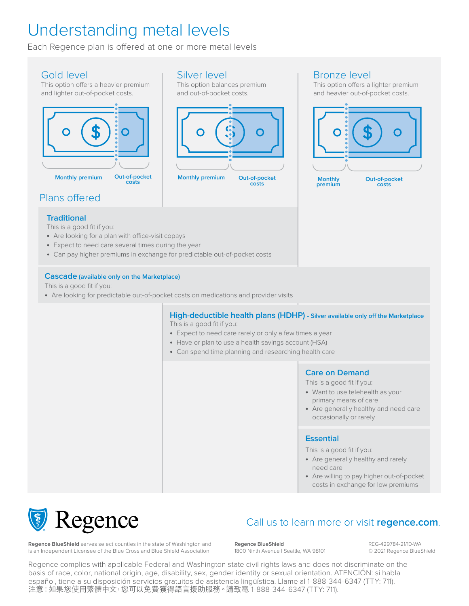### Understanding metal levels

Each Regence plan is offered at one or more metal levels

#### Gold level

This option offers a heavier premium and lighter out-of-pocket costs.



Silver level

This option balances premium and out-of-pocket costs.



Bronze level

This option offers a lighter premium and heavier out-of-pocket costs.



Plans offered

#### **Traditional**

This is a good fit if you:

- **•** Are looking for a plan with office-visit copays
- **•** Expect to need care several times during the year
- **•** Can pay higher premiums in exchange for predictable out-of-pocket costs

#### **Cascade (available only on the Marketplace)**

This is a good fit if you:

**•** Are looking for predictable out-of-pocket costs on medications and provider visits

#### **High-deductible health plans (HDHP) - Silver available only off the Marketplace** This is a good fit if you:

- **•** Expect to need care rarely or only a few times a year
- **•** Have or plan to use a health savings account (HSA)
- **•** Can spend time planning and researching health care



This is a good fit if you:

- **•** Want to use telehealth as your primary means of care
- **•** Are generally healthy and need care occasionally or rarely

#### **Essential**

This is a good fit if you:

- **•** Are generally healthy and rarely need care
- **•** Are willing to pay higher out-of-pocket costs in exchange for low premiums



### Call us to learn more or visit **[regence.com](https://www.regence.com/home)**.

**Regence BlueShield** serves select counties in the state of Washington and is an Independent Licensee of the Blue Cross and Blue Shield Association

**Regence BlueShield** 1800 Ninth Avenue | Seattle, WA 98101 REG-429784-21/10-WA © 2021 Regence BlueShield

Regence complies with applicable Federal and Washington state civil rights laws and does not discriminate on the basis of race, color, national origin, age, disability, sex, gender identity or sexual orientation. ATENCIÓN: si habla español, tiene a su disposición servicios gratuitos de asistencia lingüística. Llame al 1-888-344-6347 (TTY: 711). 注意:如果您使用繁體中文,您可以免費獲得語言援助服務。請致電 1-888-344-6347 (TTY: 711).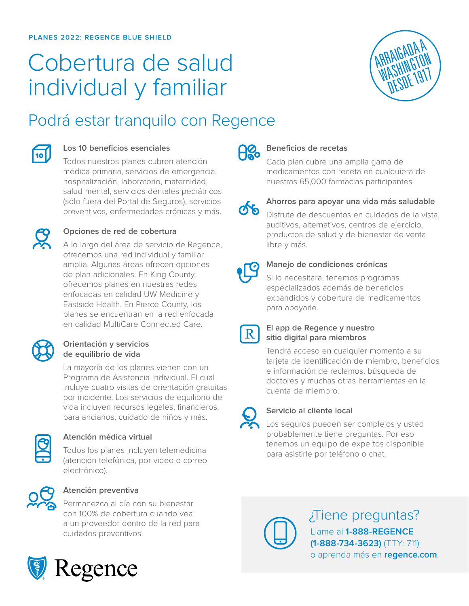# Cobertura de salud individual y familiar



### Podrá estar tranquilo con Regence



#### **Los 10 beneficios esenciales**

Todos nuestros planes cubren atención médica primaria, servicios de emergencia, hospitalización, laboratorio, maternidad, salud mental, servicios dentales pediátricos (sólo fuera del Portal de Seguros), servicios preventivos, enfermedades crónicas y más.



#### **Opciones de red de cobertura**

A lo largo del área de servicio de Regence, ofrecemos una red individual y familiar amplia. Algunas áreas ofrecen opciones de plan adicionales. En King County, ofrecemos planes en nuestras redes enfocadas en calidad UW Medicine y Eastside Health. En Pierce County, los planes se encuentran en la red enfocada en calidad MultiCare Connected Care.



#### **Orientación y servicios de equilibrio de vida**

La mayoría de los planes vienen con un Programa de Asistencia Individual. El cual incluye cuatro visitas de orientación gratuitas por incidente. Los servicios de equilibrio de vida incluyen recursos legales, financieros, para ancianos, cuidado de niños y más.



#### **Atención médica virtual**

Todos los planes incluyen telemedicina (atención telefónica, por video o correo electrónico).



#### **Atención preventiva**

Permanezca al día con su bienestar con 100% de cobertura cuando vea a un proveedor dentro de la red para cuidados preventivos.



#### **Beneficios de recetas**

Cada plan cubre una amplia gama de medicamentos con receta en cualquiera de nuestras 65,000 farmacias participantes.



#### **Ahorros para apoyar una vida más saludable**

Disfrute de descuentos en cuidados de la vista, auditivos, alternativos, centros de ejercicio, productos de salud y de bienestar de venta libre y más.



#### **Manejo de condiciones crónicas**

Si lo necesitara, tenemos programas especializados además de beneficios expandidos y cobertura de medicamentos para apoyarle.



#### **El app de Regence y nuestro sitio digital para miembros**

Tendrá acceso en cualquier momento a su tarjeta de identificación de miembro, beneficios e información de reclamos, búsqueda de doctores y muchas otras herramientas en la cuenta de miembro.



#### **Servicio al cliente local**

Los seguros pueden ser complejos y usted probablemente tiene preguntas. Por eso tenemos un equipo de expertos disponible para asistirle por teléfono o chat.



¿Tiene preguntas? Llame al **1-888-REGENCE (1-888-734-3623)** (TTY: 711) o aprenda más en **[regence.com](https://www.regence.com/home)**.